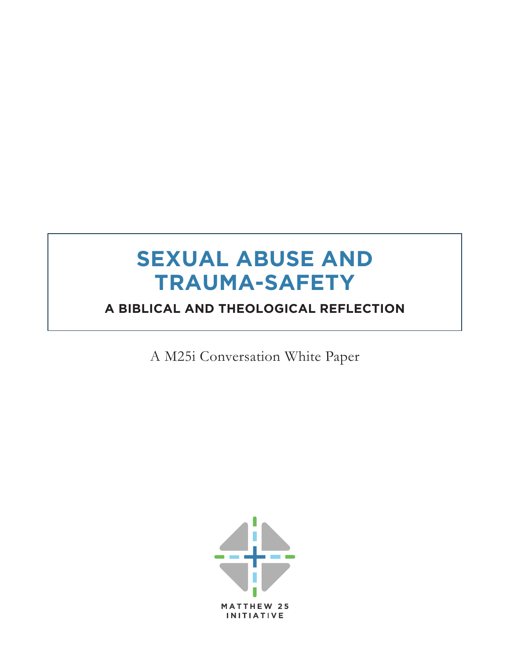# **SEXUAL ABUSE AND TRAUMA-SAFETY**

## **A BIBLICAL AND THEOLOGICAL REFLECTION**

A M25i Conversation White Paper

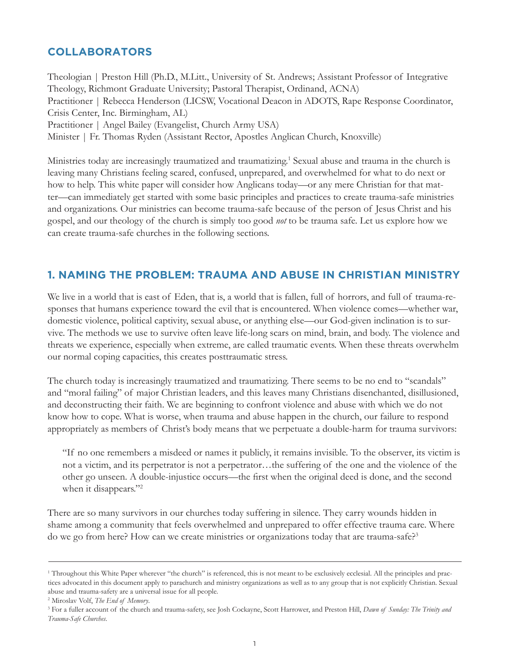#### **COLLABORATORS**

Theologian | Preston Hill (Ph.D., M.Litt., University of St. Andrews; Assistant Professor of Integrative Theology, Richmont Graduate University; Pastoral Therapist, Ordinand, ACNA) Practitioner | Rebecca Henderson (LICSW, Vocational Deacon in ADOTS, Rape Response Coordinator, Crisis Center, Inc. Birmingham, AL) Practitioner | Angel Bailey (Evangelist, Church Army USA) Minister | Fr. Thomas Ryden (Assistant Rector, Apostles Anglican Church, Knoxville)

Ministries today are increasingly traumatized and traumatizing.<sup>1</sup> Sexual abuse and trauma in the church is leaving many Christians feeling scared, confused, unprepared, and overwhelmed for what to do next or how to help. This white paper will consider how Anglicans today—or any mere Christian for that matter—can immediately get started with some basic principles and practices to create trauma-safe ministries and organizations. Our ministries can become trauma-safe because of the person of Jesus Christ and his gospel, and our theology of the church is simply too good *not* to be trauma safe. Let us explore how we can create trauma-safe churches in the following sections.

#### **1. NAMING THE PROBLEM: TRAUMA AND ABUSE IN CHRISTIAN MINISTRY**

We live in a world that is east of Eden, that is, a world that is fallen, full of horrors, and full of trauma-responses that humans experience toward the evil that is encountered. When violence comes—whether war, domestic violence, political captivity, sexual abuse, or anything else—our God-given inclination is to survive. The methods we use to survive often leave life-long scars on mind, brain, and body. The violence and threats we experience, especially when extreme, are called traumatic events. When these threats overwhelm our normal coping capacities, this creates posttraumatic stress.

The church today is increasingly traumatized and traumatizing. There seems to be no end to "scandals" and "moral failing" of major Christian leaders, and this leaves many Christians disenchanted, disillusioned, and deconstructing their faith. We are beginning to confront violence and abuse with which we do not know how to cope. What is worse, when trauma and abuse happen in the church, our failure to respond appropriately as members of Christ's body means that we perpetuate a double-harm for trauma survivors:

"If no one remembers a misdeed or names it publicly, it remains invisible. To the observer, its victim is not a victim, and its perpetrator is not a perpetrator…the suffering of the one and the violence of the other go unseen. A double-injustice occurs—the first when the original deed is done, and the second when it disappears."<sup>2</sup>

There are so many survivors in our churches today suffering in silence. They carry wounds hidden in shame among a community that feels overwhelmed and unprepared to offer effective trauma care. Where do we go from here? How can we create ministries or organizations today that are trauma-safe?<sup>3</sup>

<sup>1</sup> Throughout this White Paper wherever "the church" is referenced, this is not meant to be exclusively ecclesial. All the principles and practices advocated in this document apply to parachurch and ministry organizations as well as to any group that is not explicitly Christian. Sexual abuse and trauma-safety are a universal issue for all people.

<sup>2</sup> Miroslav Volf, *The End of Memory*.

<sup>3</sup> For a fuller account of the church and trauma-safety, see Josh Cockayne, Scott Harrower, and Preston Hill, *Dawn of Sunday: The Trinity and Trauma-Safe Churches*.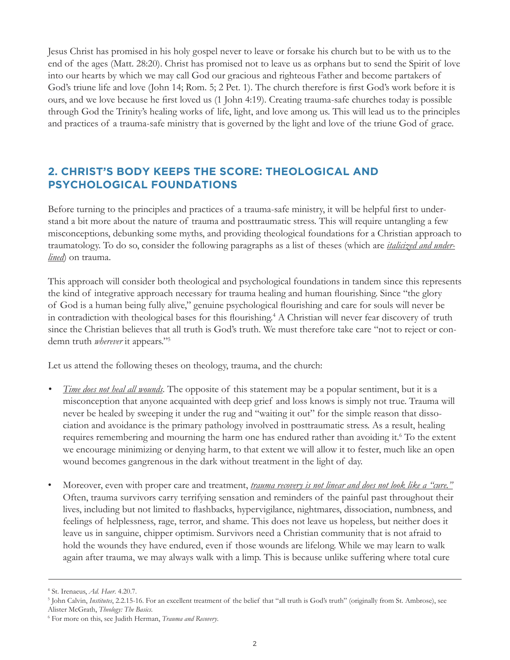Jesus Christ has promised in his holy gospel never to leave or forsake his church but to be with us to the end of the ages (Matt. 28:20). Christ has promised not to leave us as orphans but to send the Spirit of love into our hearts by which we may call God our gracious and righteous Father and become partakers of God's triune life and love (John 14; Rom. 5; 2 Pet. 1). The church therefore is first God's work before it is ours, and we love because he first loved us (1 John 4:19). Creating trauma-safe churches today is possible through God the Trinity's healing works of life, light, and love among us. This will lead us to the principles and practices of a trauma-safe ministry that is governed by the light and love of the triune God of grace.

#### **2. CHRIST'S BODY KEEPS THE SCORE: THEOLOGICAL AND PSYCHOLOGICAL FOUNDATIONS**

Before turning to the principles and practices of a trauma-safe ministry, it will be helpful first to understand a bit more about the nature of trauma and posttraumatic stress. This will require untangling a few misconceptions, debunking some myths, and providing theological foundations for a Christian approach to traumatology. To do so, consider the following paragraphs as a list of theses (which are *italicized and underlined*) on trauma.

This approach will consider both theological and psychological foundations in tandem since this represents the kind of integrative approach necessary for trauma healing and human flourishing. Since "the glory of God is a human being fully alive," genuine psychological flourishing and care for souls will never be in contradiction with theological bases for this flourishing.<sup>4</sup> A Christian will never fear discovery of truth since the Christian believes that all truth is God's truth. We must therefore take care "not to reject or condemn truth *wherever* it appears."5

Let us attend the following theses on theology, trauma, and the church:

- *Time does not heal all wounds.* The opposite of this statement may be a popular sentiment, but it is a misconception that anyone acquainted with deep grief and loss knows is simply not true. Trauma will never be healed by sweeping it under the rug and "waiting it out" for the simple reason that dissociation and avoidance is the primary pathology involved in posttraumatic stress. As a result, healing requires remembering and mourning the harm one has endured rather than avoiding it.<sup>6</sup> To the extent we encourage minimizing or denying harm, to that extent we will allow it to fester, much like an open wound becomes gangrenous in the dark without treatment in the light of day.
- Moreover, even with proper care and treatment, *trauma recovery is not linear and does not look like a "cure."* Often, trauma survivors carry terrifying sensation and reminders of the painful past throughout their lives, including but not limited to flashbacks, hypervigilance, nightmares, dissociation, numbness, and feelings of helplessness, rage, terror, and shame. This does not leave us hopeless, but neither does it leave us in sanguine, chipper optimism. Survivors need a Christian community that is not afraid to hold the wounds they have endured, even if those wounds are lifelong. While we may learn to walk again after trauma, we may always walk with a limp. This is because unlike suffering where total cure

<sup>4</sup> St. Irenaeus, *Ad. Haer*. 4.20.7.

<sup>5</sup> John Calvin, *Institutes*, 2.2.15-16. For an excellent treatment of the belief that "all truth is God's truth" (originally from St. Ambrose), see Alister McGrath, *Theology: The Basics*.

<sup>6</sup> For more on this, see Judith Herman, *Trauma and Recovery*.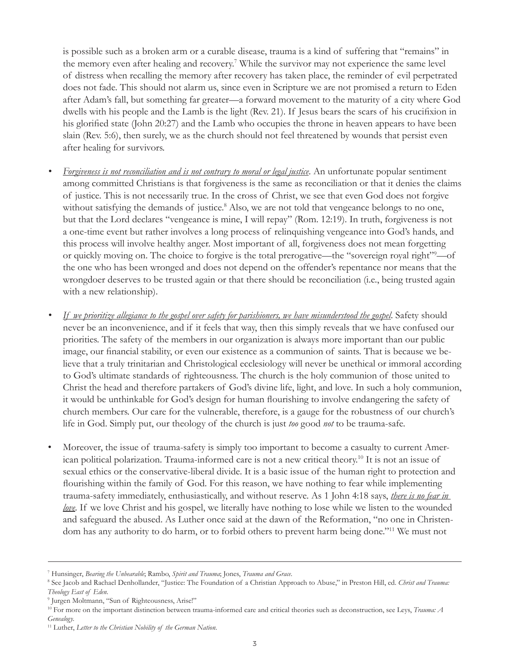is possible such as a broken arm or a curable disease, trauma is a kind of suffering that "remains" in the memory even after healing and recovery.<sup>7</sup> While the survivor may not experience the same level of distress when recalling the memory after recovery has taken place, the reminder of evil perpetrated does not fade. This should not alarm us, since even in Scripture we are not promised a return to Eden after Adam's fall, but something far greater—a forward movement to the maturity of a city where God dwells with his people and the Lamb is the light (Rev. 21). If Jesus bears the scars of his crucifixion in his glorified state (John 20:27) and the Lamb who occupies the throne in heaven appears to have been slain (Rev. 5:6), then surely, we as the church should not feel threatened by wounds that persist even after healing for survivors.

- *• Forgiveness is not reconciliation and is not contrary to moral or legal justice*. An unfortunate popular sentiment among committed Christians is that forgiveness is the same as reconciliation or that it denies the claims of justice. This is not necessarily true. In the cross of Christ, we see that even God does not forgive without satisfying the demands of justice.<sup>8</sup> Also, we are not told that vengeance belongs to no one, but that the Lord declares "vengeance is mine, I will repay" (Rom. 12:19). In truth, forgiveness is not a one-time event but rather involves a long process of relinquishing vengeance into God's hands, and this process will involve healthy anger. Most important of all, forgiveness does not mean forgetting or quickly moving on. The choice to forgive is the total prerogative—the "sovereign royal right"<sup>9</sup> —of the one who has been wronged and does not depend on the offender's repentance nor means that the wrongdoer deserves to be trusted again or that there should be reconciliation (i.e., being trusted again with a new relationship).
- *• If we prioritize allegiance to the gospel over safety for parishioners, we have misunderstood the gospel*. Safety should never be an inconvenience, and if it feels that way, then this simply reveals that we have confused our priorities. The safety of the members in our organization is always more important than our public image, our financial stability, or even our existence as a communion of saints. That is because we believe that a truly trinitarian and Christological ecclesiology will never be unethical or immoral according to God's ultimate standards of righteousness. The church is the holy communion of those united to Christ the head and therefore partakers of God's divine life, light, and love. In such a holy communion, it would be unthinkable for God's design for human flourishing to involve endangering the safety of church members. Our care for the vulnerable, therefore, is a gauge for the robustness of our church's life in God. Simply put, our theology of the church is just *too* good *not* to be trauma-safe.
- Moreover, the issue of trauma-safety is simply too important to become a casualty to current American political polarization. Trauma-informed care is not a new critical theory.10 It is not an issue of sexual ethics or the conservative-liberal divide. It is a basic issue of the human right to protection and flourishing within the family of God. For this reason, we have nothing to fear while implementing trauma-safety immediately, enthusiastically, and without reserve. As 1 John 4:18 says, *there is no fear in love*. If we love Christ and his gospel, we literally have nothing to lose while we listen to the wounded and safeguard the abused. As Luther once said at the dawn of the Reformation, "no one in Christendom has any authority to do harm, or to forbid others to prevent harm being done."11 We must not

<sup>7</sup> Hunsinger, *Bearing the Unbearable*; Rambo, *Spirit and Trauma*; Jones, *Trauma and Grace*. 8

<sup>&</sup>lt;sup>8</sup> See Jacob and Rachael Denhollander, "Justice: The Foundation of a Christian Approach to Abuse," in Preston Hill, ed. Christ and Trauma: *Theology East of Eden*.

<sup>9</sup> Jurgen Moltmann, "Sun of Righteousness, Arise!"

<sup>10</sup> For more on the important distinction between trauma-informed care and critical theories such as deconstruction, see Leys, *Trauma: A Genealogy*.

<sup>11</sup> Luther, *Letter to the Christian Nobility of the German Nation*.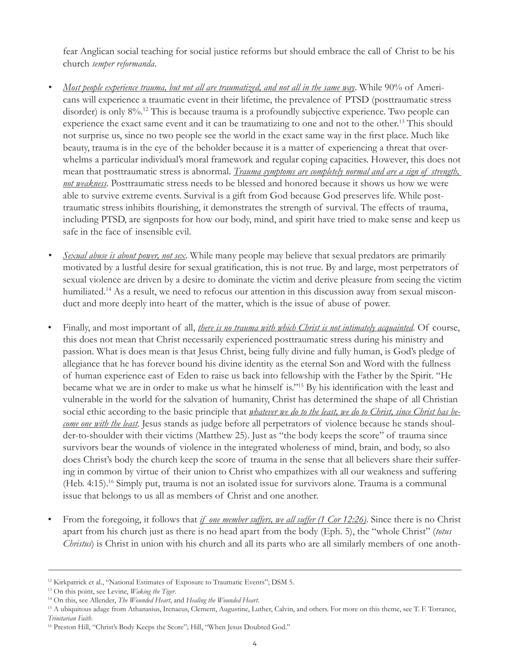fear Anglican social teaching for social justice reforms but should embrace the call of Christ to be his church *semper reformanda*.

- *• Most people experience trauma, but not all are traumatized, and not all in the same way*. While 90% of Americans will experience a traumatic event in their lifetime, the prevalence of PTSD (posttraumatic stress disorder) is only 8%.12 This is because trauma is a profoundly subjective experience. Two people can experience the exact same event and it can be traumatizing to one and not to the other.<sup>13</sup> This should not surprise us, since no two people see the world in the exact same way in the first place. Much like beauty, trauma is in the eye of the beholder because it is a matter of experiencing a threat that overwhelms a particular individual's moral framework and regular coping capacities. However, this does not mean that posttraumatic stress is abnormal. *Trauma symptoms are completely normal and are a sign of strength, not weakness*. Posttraumatic stress needs to be blessed and honored because it shows us how we were able to survive extreme events. Survival is a gift from God because God preserves life. While posttraumatic stress inhibits flourishing, it demonstrates the strength of survival. The effects of trauma, including PTSD, are signposts for how our body, mind, and spirit have tried to make sense and keep us safe in the face of insensible evil.
- *• Sexual abuse is about power, not sex*. While many people may believe that sexual predators are primarily motivated by a lustful desire for sexual gratification, this is not true. By and large, most perpetrators of sexual violence are driven by a desire to dominate the victim and derive pleasure from seeing the victim humiliated.<sup>14</sup> As a result, we need to refocus our attention in this discussion away from sexual misconduct and more deeply into heart of the matter, which is the issue of abuse of power.
- Finally, and most important of all, *there is no trauma with which Christ is not intimately acquainted*. Of course, this does not mean that Christ necessarily experienced posttraumatic stress during his ministry and passion. What is does mean is that Jesus Christ, being fully divine and fully human, is God's pledge of allegiance that he has forever bound his divine identity as the eternal Son and Word with the fullness of human experience east of Eden to raise us back into fellowship with the Father by the Spirit. "He became what we are in order to make us what he himself is."15 By his identification with the least and vulnerable in the world for the salvation of humanity, Christ has determined the shape of all Christian social ethic according to the basic principle that *whatever we do to the least, we do to Christ, since Christ has become one with the least*. Jesus stands as judge before all perpetrators of violence because he stands shoulder-to-shoulder with their victims (Matthew 25). Just as "the body keeps the score" of trauma since survivors bear the wounds of violence in the integrated wholeness of mind, brain, and body, so also does Christ's body the church keep the score of trauma in the sense that all believers share their suffering in common by virtue of their union to Christ who empathizes with all our weakness and suffering (Heb. 4:15).16 Simply put, trauma is not an isolated issue for survivors alone. Trauma is a communal issue that belongs to us all as members of Christ and one another.
- From the foregoing, it follows that *if one member suffers, we all suffer (1 Cor 12:26)*. Since there is no Christ apart from his church just as there is no head apart from the body (Eph. 5), the "whole Christ" (*totus Christus*) is Christ in union with his church and all its parts who are all similarly members of one anoth-

<sup>&</sup>lt;sup>12</sup> Kirkpatrick et al., "National Estimates of Exposure to Traumatic Events"; DSM 5.

<sup>13</sup> On this point, see Levine, *Waking the Tiger*.

<sup>14</sup> On this, see Allender, *The Wounded Heart*, and *Healing the Wounded Heart*.

<sup>&</sup>lt;sup>15</sup> A ubiquitous adage from Athanasius, Irenaeus, Clement, Augustine, Luther, Calvin, and others. For more on this theme, see T. F. Torrance, *Trinitarian Faith*.

<sup>&</sup>lt;sup>16</sup> Preston Hill, "Christ's Body Keeps the Score"; Hill, "When Jesus Doubted God."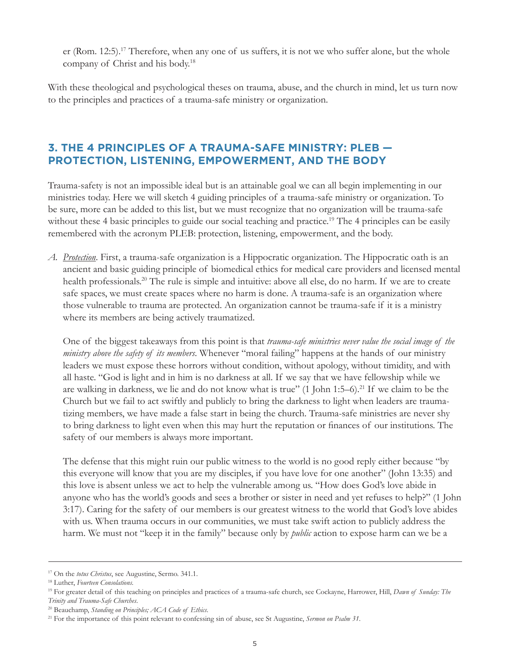er (Rom. 12:5).<sup>17</sup> Therefore, when any one of us suffers, it is not we who suffer alone, but the whole company of Christ and his body.18

With these theological and psychological theses on trauma, abuse, and the church in mind, let us turn now to the principles and practices of a trauma-safe ministry or organization.

### **3. THE 4 PRINCIPLES OF A TRAUMA-SAFE MINISTRY: PLEB — PROTECTION, LISTENING, EMPOWERMENT, AND THE BODY**

Trauma-safety is not an impossible ideal but is an attainable goal we can all begin implementing in our ministries today. Here we will sketch 4 guiding principles of a trauma-safe ministry or organization. To be sure, more can be added to this list, but we must recognize that no organization will be trauma-safe without these 4 basic principles to guide our social teaching and practice.<sup>19</sup> The 4 principles can be easily remembered with the acronym PLEB: protection, listening, empowerment, and the body.

*A. Protection*. First, a trauma-safe organization is a Hippocratic organization. The Hippocratic oath is an ancient and basic guiding principle of biomedical ethics for medical care providers and licensed mental health professionals.<sup>20</sup> The rule is simple and intuitive: above all else, do no harm. If we are to create safe spaces, we must create spaces where no harm is done. A trauma-safe is an organization where those vulnerable to trauma are protected. An organization cannot be trauma-safe if it is a ministry where its members are being actively traumatized.

One of the biggest takeaways from this point is that *trauma-safe ministries never value the social image of the ministry above the safety of its members*. Whenever "moral failing" happens at the hands of our ministry leaders we must expose these horrors without condition, without apology, without timidity, and with all haste. "God is light and in him is no darkness at all. If we say that we have fellowship while we are walking in darkness, we lie and do not know what is true" (1 John 1:5–6).21 If we claim to be the Church but we fail to act swiftly and publicly to bring the darkness to light when leaders are traumatizing members, we have made a false start in being the church. Trauma-safe ministries are never shy to bring darkness to light even when this may hurt the reputation or finances of our institutions. The safety of our members is always more important.

The defense that this might ruin our public witness to the world is no good reply either because "by this everyone will know that you are my disciples, if you have love for one another" (John 13:35) and this love is absent unless we act to help the vulnerable among us. "How does God's love abide in anyone who has the world's goods and sees a brother or sister in need and yet refuses to help?" (1 John 3:17). Caring for the safety of our members is our greatest witness to the world that God's love abides with us. When trauma occurs in our communities, we must take swift action to publicly address the harm. We must not "keep it in the family" because only by *public* action to expose harm can we be a

<sup>17</sup> On the *totus Christus*, see Augustine, Sermo. 341.1.

<sup>18</sup> Luther, *Fourteen Consolations*.

<sup>19</sup> For greater detail of this teaching on principles and practices of a trauma-safe church, see Cockayne, Harrower, Hill, *Dawn of Sunday: The Trinity and Trauma-Safe Churches*.

<sup>20</sup> Beauchamp, *Standing on Principles; ACA Code of Ethics*.

<sup>21</sup> For the importance of this point relevant to confessing sin of abuse, see St Augustine, *Sermon on Psalm 31*.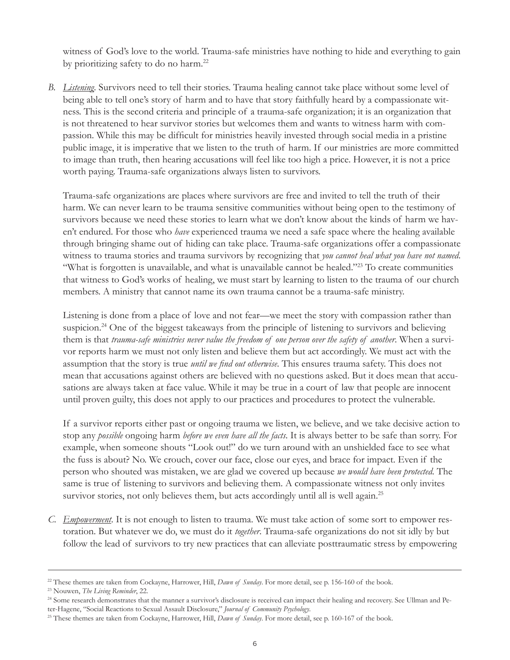witness of God's love to the world. Trauma-safe ministries have nothing to hide and everything to gain by prioritizing safety to do no harm.22

*B. Listening*. Survivors need to tell their stories. Trauma healing cannot take place without some level of being able to tell one's story of harm and to have that story faithfully heard by a compassionate witness. This is the second criteria and principle of a trauma-safe organization; it is an organization that is not threatened to hear survivor stories but welcomes them and wants to witness harm with compassion. While this may be difficult for ministries heavily invested through social media in a pristine public image, it is imperative that we listen to the truth of harm. If our ministries are more committed to image than truth, then hearing accusations will feel like too high a price. However, it is not a price worth paying. Trauma-safe organizations always listen to survivors.

Trauma-safe organizations are places where survivors are free and invited to tell the truth of their harm. We can never learn to be trauma sensitive communities without being open to the testimony of survivors because we need these stories to learn what we don't know about the kinds of harm we haven't endured. For those who *have* experienced trauma we need a safe space where the healing available through bringing shame out of hiding can take place. Trauma-safe organizations offer a compassionate witness to trauma stories and trauma survivors by recognizing that *you cannot heal what you have not named*. "What is forgotten is unavailable, and what is unavailable cannot be healed."<sup>23</sup> To create communities that witness to God's works of healing, we must start by learning to listen to the trauma of our church members. A ministry that cannot name its own trauma cannot be a trauma-safe ministry.

Listening is done from a place of love and not fear—we meet the story with compassion rather than suspicion.<sup>24</sup> One of the biggest takeaways from the principle of listening to survivors and believing them is that *trauma-safe ministries never value the freedom of one person over the safety of another*. When a survivor reports harm we must not only listen and believe them but act accordingly. We must act with the assumption that the story is true *until we find out otherwise*. This ensures trauma safety. This does not mean that accusations against others are believed with no questions asked. But it does mean that accusations are always taken at face value. While it may be true in a court of law that people are innocent until proven guilty, this does not apply to our practices and procedures to protect the vulnerable.

If a survivor reports either past or ongoing trauma we listen, we believe, and we take decisive action to stop any *possible* ongoing harm *before we even have all the facts*. It is always better to be safe than sorry. For example, when someone shouts "Look out!" do we turn around with an unshielded face to see what the fuss is about? No. We crouch, cover our face, close our eyes, and brace for impact. Even if the person who shouted was mistaken, we are glad we covered up because *we would have been protected*. The same is true of listening to survivors and believing them. A compassionate witness not only invites survivor stories, not only believes them, but acts accordingly until all is well again.<sup>25</sup>

*C. Empowerment*. It is not enough to listen to trauma. We must take action of some sort to empower restoration. But whatever we do, we must do it *together*. Trauma-safe organizations do not sit idly by but follow the lead of survivors to try new practices that can alleviate posttraumatic stress by empowering

<sup>&</sup>lt;sup>22</sup> These themes are taken from Cockayne, Harrower, Hill, *Dawn of Sunday*. For more detail, see p. 156-160 of the book.

<sup>23</sup> Nouwen, *The Living Reminder*, 22.

<sup>&</sup>lt;sup>24</sup> Some research demonstrates that the manner a survivor's disclosure is received can impact their healing and recovery. See Ullman and Peter-Hagene, "Social Reactions to Sexual Assault Disclosure," *Journal of Community Psychology*.

<sup>25</sup> These themes are taken from Cockayne, Harrower, Hill, *Dawn of Sunday*. For more detail, see p. 160-167 of the book.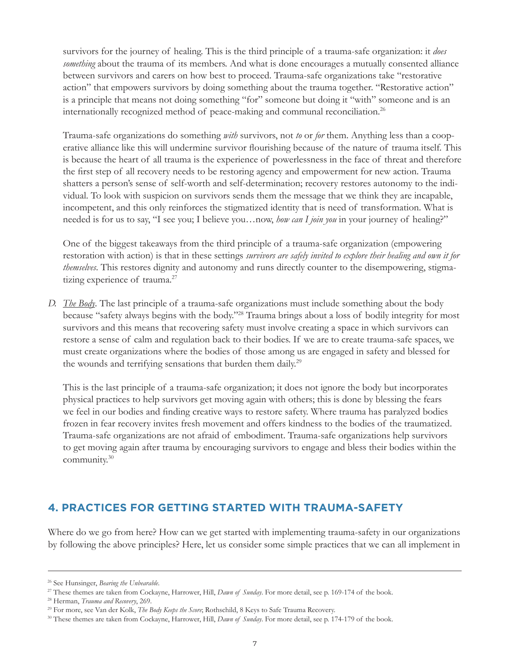survivors for the journey of healing. This is the third principle of a trauma-safe organization: it *does something* about the trauma of its members. And what is done encourages a mutually consented alliance between survivors and carers on how best to proceed. Trauma-safe organizations take "restorative action" that empowers survivors by doing something about the trauma together. "Restorative action" is a principle that means not doing something "for" someone but doing it "with" someone and is an internationally recognized method of peace-making and communal reconciliation.<sup>26</sup>

Trauma-safe organizations do something *with* survivors, not *to* or *for* them. Anything less than a cooperative alliance like this will undermine survivor flourishing because of the nature of trauma itself. This is because the heart of all trauma is the experience of powerlessness in the face of threat and therefore the first step of all recovery needs to be restoring agency and empowerment for new action. Trauma shatters a person's sense of self-worth and self-determination; recovery restores autonomy to the individual. To look with suspicion on survivors sends them the message that we think they are incapable, incompetent, and this only reinforces the stigmatized identity that is need of transformation. What is needed is for us to say, "I see you; I believe you…now, *how can I join you* in your journey of healing?"

One of the biggest takeaways from the third principle of a trauma-safe organization (empowering restoration with action) is that in these settings *survivors are safely invited to explore their healing and own it for themselves*. This restores dignity and autonomy and runs directly counter to the disempowering, stigmatizing experience of trauma.<sup>27</sup>

*D. The Body*. The last principle of a trauma-safe organizations must include something about the body because "safety always begins with the body."28 Trauma brings about a loss of bodily integrity for most survivors and this means that recovering safety must involve creating a space in which survivors can restore a sense of calm and regulation back to their bodies. If we are to create trauma-safe spaces, we must create organizations where the bodies of those among us are engaged in safety and blessed for the wounds and terrifying sensations that burden them daily.<sup>29</sup>

This is the last principle of a trauma-safe organization; it does not ignore the body but incorporates physical practices to help survivors get moving again with others; this is done by blessing the fears we feel in our bodies and finding creative ways to restore safety. Where trauma has paralyzed bodies frozen in fear recovery invites fresh movement and offers kindness to the bodies of the traumatized. Trauma-safe organizations are not afraid of embodiment. Trauma-safe organizations help survivors to get moving again after trauma by encouraging survivors to engage and bless their bodies within the community.30

#### **4. PRACTICES FOR GETTING STARTED WITH TRAUMA-SAFETY**

Where do we go from here? How can we get started with implementing trauma-safety in our organizations by following the above principles? Here, let us consider some simple practices that we can all implement in

<sup>26</sup> See Hunsinger, *Bearing the Unbearable*.

<sup>27</sup> These themes are taken from Cockayne, Harrower, Hill, *Dawn of Sunday*. For more detail, see p. 169-174 of the book.

<sup>28</sup> Herman, *Trauma and Recovery*, 269.

<sup>29</sup> For more, see Van der Kolk, *The Body Keeps the Score*; Rothschild, 8 Keys to Safe Trauma Recovery.

<sup>30</sup> These themes are taken from Cockayne, Harrower, Hill, *Dawn of Sunday*. For more detail, see p. 174-179 of the book.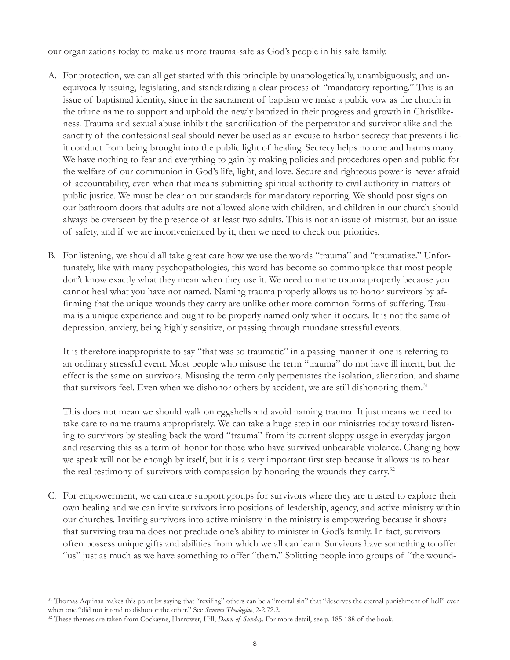our organizations today to make us more trauma-safe as God's people in his safe family.

- A. For protection, we can all get started with this principle by unapologetically, unambiguously, and unequivocally issuing, legislating, and standardizing a clear process of "mandatory reporting." This is an issue of baptismal identity, since in the sacrament of baptism we make a public vow as the church in the triune name to support and uphold the newly baptized in their progress and growth in Christlikeness. Trauma and sexual abuse inhibit the sanctification of the perpetrator and survivor alike and the sanctity of the confessional seal should never be used as an excuse to harbor secrecy that prevents illicit conduct from being brought into the public light of healing. Secrecy helps no one and harms many. We have nothing to fear and everything to gain by making policies and procedures open and public for the welfare of our communion in God's life, light, and love. Secure and righteous power is never afraid of accountability, even when that means submitting spiritual authority to civil authority in matters of public justice. We must be clear on our standards for mandatory reporting. We should post signs on our bathroom doors that adults are not allowed alone with children, and children in our church should always be overseen by the presence of at least two adults. This is not an issue of mistrust, but an issue of safety, and if we are inconvenienced by it, then we need to check our priorities.
- B. For listening, we should all take great care how we use the words "trauma" and "traumatize." Unfortunately, like with many psychopathologies, this word has become so commonplace that most people don't know exactly what they mean when they use it. We need to name trauma properly because you cannot heal what you have not named. Naming trauma properly allows us to honor survivors by affirming that the unique wounds they carry are unlike other more common forms of suffering. Trauma is a unique experience and ought to be properly named only when it occurs. It is not the same of depression, anxiety, being highly sensitive, or passing through mundane stressful events.

It is therefore inappropriate to say "that was so traumatic" in a passing manner if one is referring to an ordinary stressful event. Most people who misuse the term "trauma" do not have ill intent, but the effect is the same on survivors. Misusing the term only perpetuates the isolation, alienation, and shame that survivors feel. Even when we dishonor others by accident, we are still dishonoring them.<sup>31</sup>

This does not mean we should walk on eggshells and avoid naming trauma. It just means we need to take care to name trauma appropriately. We can take a huge step in our ministries today toward listening to survivors by stealing back the word "trauma" from its current sloppy usage in everyday jargon and reserving this as a term of honor for those who have survived unbearable violence. Changing how we speak will not be enough by itself, but it is a very important first step because it allows us to hear the real testimony of survivors with compassion by honoring the wounds they carry.<sup>32</sup>

C. For empowerment, we can create support groups for survivors where they are trusted to explore their own healing and we can invite survivors into positions of leadership, agency, and active ministry within our churches. Inviting survivors into active ministry in the ministry is empowering because it shows that surviving trauma does not preclude one's ability to minister in God's family. In fact, survivors often possess unique gifts and abilities from which we all can learn. Survivors have something to offer "us" just as much as we have something to offer "them." Splitting people into groups of "the wound-

<sup>&</sup>lt;sup>31</sup> Thomas Aquinas makes this point by saying that "reviling" others can be a "mortal sin" that "deserves the eternal punishment of hell" even when one "did not intend to dishonor the other." See *Summa Theologiae*, 2-2.72.2.

<sup>&</sup>lt;sup>32</sup> These themes are taken from Cockayne, Harrower, Hill, *Dawn of Sunday*. For more detail, see p. 185-188 of the book.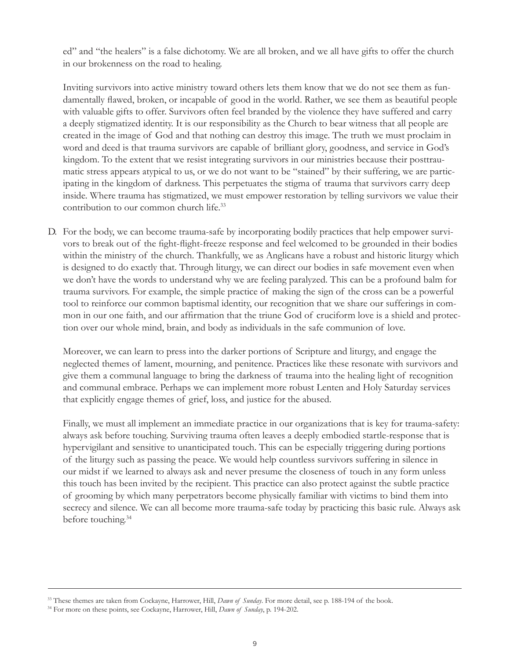ed" and "the healers" is a false dichotomy. We are all broken, and we all have gifts to offer the church in our brokenness on the road to healing.

Inviting survivors into active ministry toward others lets them know that we do not see them as fundamentally flawed, broken, or incapable of good in the world. Rather, we see them as beautiful people with valuable gifts to offer. Survivors often feel branded by the violence they have suffered and carry a deeply stigmatized identity. It is our responsibility as the Church to bear witness that all people are created in the image of God and that nothing can destroy this image. The truth we must proclaim in word and deed is that trauma survivors are capable of brilliant glory, goodness, and service in God's kingdom. To the extent that we resist integrating survivors in our ministries because their posttraumatic stress appears atypical to us, or we do not want to be "stained" by their suffering, we are participating in the kingdom of darkness. This perpetuates the stigma of trauma that survivors carry deep inside. Where trauma has stigmatized, we must empower restoration by telling survivors we value their contribution to our common church life.<sup>33</sup>

D. For the body, we can become trauma-safe by incorporating bodily practices that help empower survivors to break out of the fight-flight-freeze response and feel welcomed to be grounded in their bodies within the ministry of the church. Thankfully, we as Anglicans have a robust and historic liturgy which is designed to do exactly that. Through liturgy, we can direct our bodies in safe movement even when we don't have the words to understand why we are feeling paralyzed. This can be a profound balm for trauma survivors. For example, the simple practice of making the sign of the cross can be a powerful tool to reinforce our common baptismal identity, our recognition that we share our sufferings in common in our one faith, and our affirmation that the triune God of cruciform love is a shield and protection over our whole mind, brain, and body as individuals in the safe communion of love.

Moreover, we can learn to press into the darker portions of Scripture and liturgy, and engage the neglected themes of lament, mourning, and penitence. Practices like these resonate with survivors and give them a communal language to bring the darkness of trauma into the healing light of recognition and communal embrace. Perhaps we can implement more robust Lenten and Holy Saturday services that explicitly engage themes of grief, loss, and justice for the abused.

Finally, we must all implement an immediate practice in our organizations that is key for trauma-safety: always ask before touching. Surviving trauma often leaves a deeply embodied startle-response that is hypervigilant and sensitive to unanticipated touch. This can be especially triggering during portions of the liturgy such as passing the peace. We would help countless survivors suffering in silence in our midst if we learned to always ask and never presume the closeness of touch in any form unless this touch has been invited by the recipient. This practice can also protect against the subtle practice of grooming by which many perpetrators become physically familiar with victims to bind them into secrecy and silence. We can all become more trauma-safe today by practicing this basic rule. Always ask before touching.<sup>34</sup>

<sup>33</sup> These themes are taken from Cockayne, Harrower, Hill, *Dawn of Sunday*. For more detail, see p. 188-194 of the book.

<sup>34</sup> For more on these points, see Cockayne, Harrower, Hill, *Dawn of Sunday*, p. 194-202.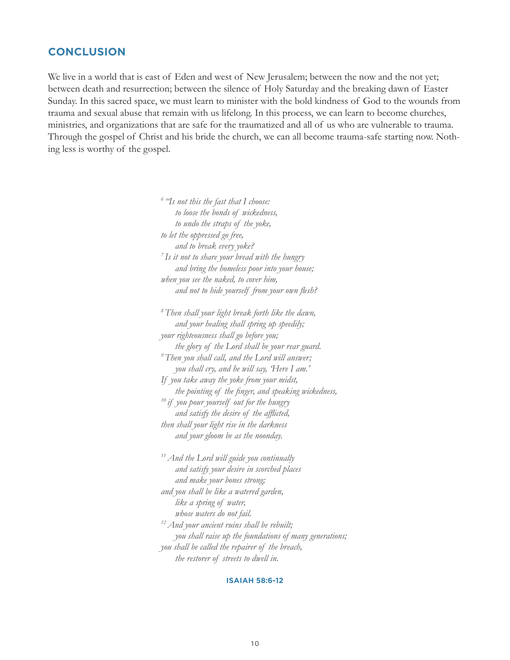#### **CONCLUSION**

We live in a world that is east of Eden and west of New Jerusalem; between the now and the not yet; between death and resurrection; between the silence of Holy Saturday and the breaking dawn of Easter Sunday. In this sacred space, we must learn to minister with the bold kindness of God to the wounds from trauma and sexual abuse that remain with us lifelong. In this process, we can learn to become churches, ministries, and organizations that are safe for the traumatized and all of us who are vulnerable to trauma. Through the gospel of Christ and his bride the church, we can all become trauma-safe starting now. Nothing less is worthy of the gospel.

> *6 "Is not this the fast that I choose: to loose the bonds of wickedness, to undo the straps of the yoke, to let the oppressed go free, and to break every yoke? 7 Is it not to share your bread with the hungry and bring the homeless poor into your house; when you see the naked, to cover him, and not to hide yourself from your own flesh? 8 Then shall your light break forth like the dawn, and your healing shall spring up speedily; your righteousness shall go before you; the glory of the Lord shall be your rear guard. 9 Then you shall call, and the Lord will answer;*

*you shall cry, and he will say, 'Here I am.' If you take away the yoke from your midst, the pointing of the finger, and speaking wickedness, 10 if you pour yourself out for the hungry and satisfy the desire of the afflicted, then shall your light rise in the darkness and your gloom be as the noonday.*

*11 And the Lord will guide you continually and satisfy your desire in scorched places and make your bones strong; and you shall be like a watered garden, like a spring of water, whose waters do not fail. 12 And your ancient ruins shall be rebuilt; you shall raise up the foundations of many generations; you shall be called the repairer of the breach, the restorer of streets to dwell in.*

#### **ISAIAH 58:6-12**